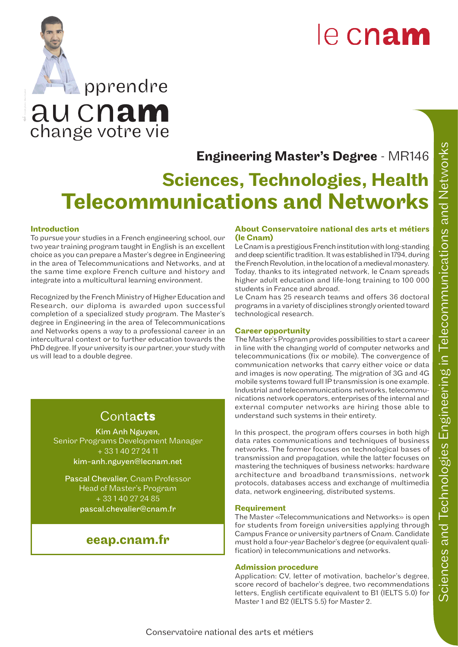# le cnam

change votre vie au cnam pprendre

# Engineering Master's Degree - MR146

# Sciences, Technologies, Health Telecommunications and Networks

#### Introduction

To pursue your studies in a French engineering school, our two year training program taught in English is an excellent choice as you can prepare a Master's degree in Engineering in the area of Telecommunications and Networks, and at the same time explore French culture and history and integrate into a multicultural learning environment.

Recognized by the French Ministry of Higher Education and Research, our diploma is awarded upon successful completion of a specialized study program. The Master's degree in Engineering in the area of Telecommunications and Networks opens a way to a professional career in an intercultural context or to further education towards the PhD degree. If your university is our partner, your study with us will lead to a double degree.

## Contac**ts**

Kim Anh Nguyen, Senior Programs Development Manager + 33 1 40 27 24 11 kim-anh.nguyen@lecnam.net

Pascal Chevalier, Cnam Professor Head of Master's Program  $+\overline{33140272485}$ pascal.chevalier@cnam.fr

### eeap.cnam.fr

#### About Conservatoire national des arts et métiers (le Cnam)

Le Cnam is a prestigious French institution with long-standing and deep scientific tradition. It was established in 1794, during the French Revolution, in the location of a medieval monastery. Today, thanks to its integrated network, le Cnam spreads higher adult education and life-long training to 100 000 students in France and abroad.

Le Cnam has 25 research teams and offers 36 doctoral programs in a variety of disciplines strongly oriented toward technological research.

#### Career opportunity

The Master's Program provides possibilities to start a career in line with the changing world of computer networks and telecommunications (fix or mobile). The convergence of communication networks that carry either voice or data and images is now operating. The migration of 3G and 4G mobile systems toward full IP transmission is one example. Industrial and telecommunications networks, telecommunications network operators, enterprises of the internal and external computer networks are hiring those able to understand such systems in their entirety.

In this prospect, the program offers courses in both high data rates communications and techniques of business networks. The former focuses on technological bases of transmission and propagation, while the latter focuses on mastering the techniques of business networks: hardware architecture and broadband transmissions, network protocols, databases access and exchange of multimedia data, network engineering, distributed systems.

#### Requirement

The Master «Telecommunications and Networks» is open for students from foreign universities applying through Campus France or university partners of Cnam. Candidate must hold a four-year Bachelor's degree (or equivalent qualification) in telecommunications and networks.

#### Admission procedure

Application: CV, letter of motivation, bachelor's degree, score record of bachelor's degree, two recommendations letters, English certificate equivalent to B1 (IELTS 5.0) for Master 1 and B2 (IELTS 5.5) for Master 2.